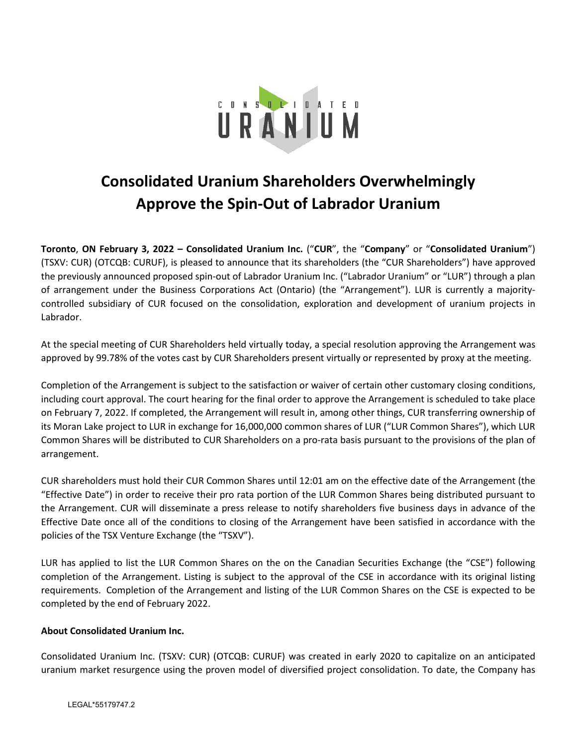

# **Consolidated Uranium Shareholders Overwhelmingly Approve the Spin-Out of Labrador Uranium**

**Toronto**, **ON February 3, 2022 – Consolidated Uranium Inc.** ("**CUR**", the "**Company**" or "**Consolidated Uranium**") (TSXV: CUR) (OTCQB: CURUF), is pleased to announce that its shareholders (the "CUR Shareholders") have approved the previously announced proposed spin-out of Labrador Uranium Inc. ("Labrador Uranium" or "LUR") through a plan of arrangement under the Business Corporations Act (Ontario) (the "Arrangement"). LUR is currently a majoritycontrolled subsidiary of CUR focused on the consolidation, exploration and development of uranium projects in Labrador.

At the special meeting of CUR Shareholders held virtually today, a special resolution approving the Arrangement was approved by 99.78% of the votes cast by CUR Shareholders present virtually or represented by proxy at the meeting.

Completion of the Arrangement is subject to the satisfaction or waiver of certain other customary closing conditions, including court approval. The court hearing for the final order to approve the Arrangement is scheduled to take place on February 7, 2022. If completed, the Arrangement will result in, among other things, CUR transferring ownership of its Moran Lake project to LUR in exchange for 16,000,000 common shares of LUR ("LUR Common Shares"), which LUR Common Shares will be distributed to CUR Shareholders on a pro-rata basis pursuant to the provisions of the plan of arrangement.

CUR shareholders must hold their CUR Common Shares until 12:01 am on the effective date of the Arrangement (the "Effective Date") in order to receive their pro rata portion of the LUR Common Shares being distributed pursuant to the Arrangement. CUR will disseminate a press release to notify shareholders five business days in advance of the Effective Date once all of the conditions to closing of the Arrangement have been satisfied in accordance with the policies of the TSX Venture Exchange (the "TSXV").

LUR has applied to list the LUR Common Shares on the on the Canadian Securities Exchange (the "CSE") following completion of the Arrangement. Listing is subject to the approval of the CSE in accordance with its original listing requirements. Completion of the Arrangement and listing of the LUR Common Shares on the CSE is expected to be completed by the end of February 2022.

#### **About Consolidated Uranium Inc.**

Consolidated Uranium Inc. (TSXV: CUR) (OTCQB: CURUF) was created in early 2020 to capitalize on an anticipated uranium market resurgence using the proven model of diversified project consolidation. To date, the Company has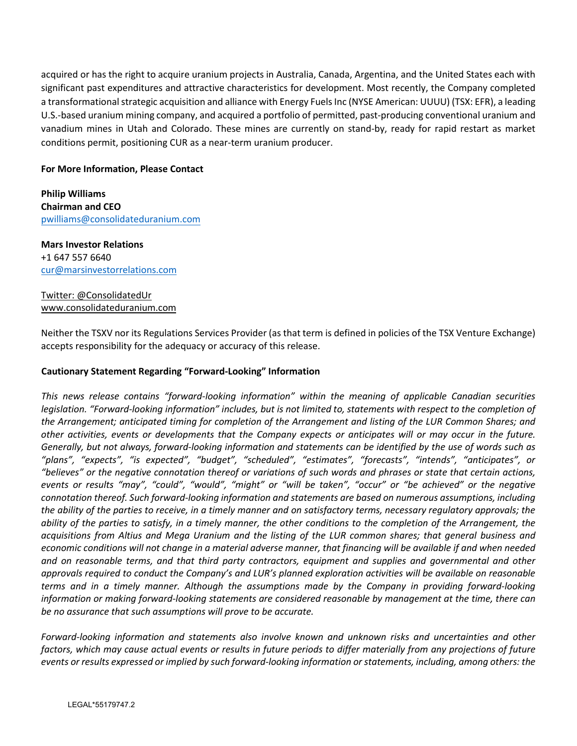acquired or has the right to acquire uranium projects in Australia, Canada, Argentina, and the United States each with significant past expenditures and attractive characteristics for development. Most recently, the Company completed a transformational strategic acquisition and alliance with Energy Fuels Inc (NYSE American: UUUU) (TSX: EFR), a leading U.S.-based uranium mining company, and acquired a portfolio of permitted, past-producing conventional uranium and vanadium mines in Utah and Colorado. These mines are currently on stand-by, ready for rapid restart as market conditions permit, positioning CUR as a near-term uranium producer.

### **For More Information, Please Contact**

**Philip Williams Chairman and CEO**  [pwilliams@consolidateduranium.com](mailto:pwilliams@consolidateduranium.com)

**Mars Investor Relations** +1 647 557 6640 [cur@marsinvestorrelations.com](mailto:cur@marsinvestorrelations.com)

## Twitter: @ConsolidatedUr www.consolidateduranium.com

Neither the TSXV nor its Regulations Services Provider (as that term is defined in policies of the TSX Venture Exchange) accepts responsibility for the adequacy or accuracy of this release.

### **Cautionary Statement Regarding "Forward-Looking" Information**

*This news release contains "forward-looking information" within the meaning of applicable Canadian securities legislation. "Forward-looking information" includes, but is not limited to, statements with respect to the completion of the Arrangement; anticipated timing for completion of the Arrangement and listing of the LUR Common Shares; and other activities, events or developments that the Company expects or anticipates will or may occur in the future. Generally, but not always, forward-looking information and statements can be identified by the use of words such as "plans", "expects", "is expected", "budget", "scheduled", "estimates", "forecasts", "intends", "anticipates", or "believes" or the negative connotation thereof or variations of such words and phrases or state that certain actions, events or results "may", "could", "would", "might" or "will be taken", "occur" or "be achieved" or the negative connotation thereof. Such forward-looking information and statements are based on numerous assumptions, including the ability of the parties to receive, in a timely manner and on satisfactory terms, necessary regulatory approvals; the ability of the parties to satisfy, in a timely manner, the other conditions to the completion of the Arrangement, the acquisitions from Altius and Mega Uranium and the listing of the LUR common shares; that general business and economic conditions will not change in a material adverse manner, that financing will be available if and when needed and on reasonable terms, and that third party contractors, equipment and supplies and governmental and other approvals required to conduct the Company's and LUR's planned exploration activities will be available on reasonable terms and in a timely manner. Although the assumptions made by the Company in providing forward-looking information or making forward-looking statements are considered reasonable by management at the time, there can be no assurance that such assumptions will prove to be accurate.*

*Forward-looking information and statements also involve known and unknown risks and uncertainties and other*  factors, which may cause actual events or results in future periods to differ materially from any projections of future *events or results expressed or implied by such forward-looking information or statements, including, among others: the*